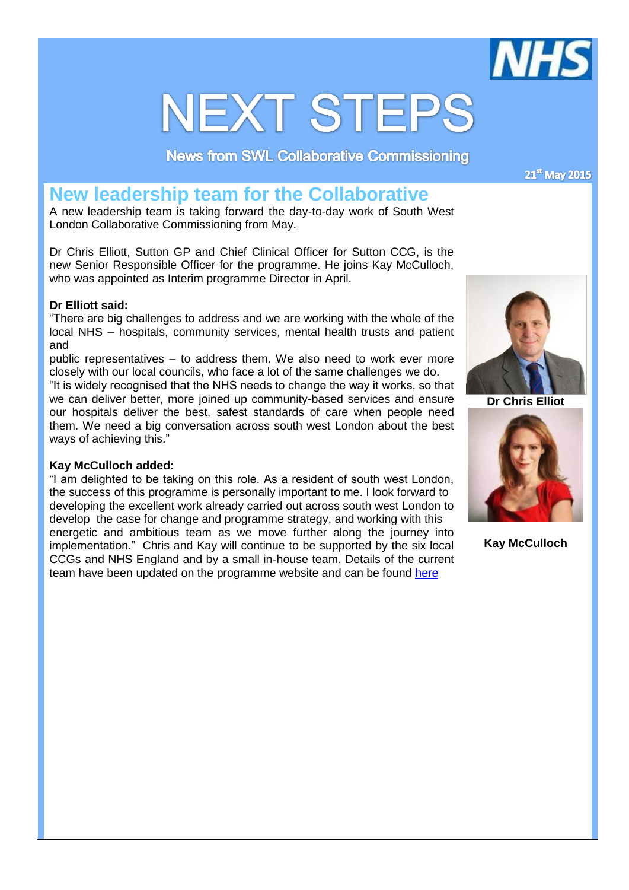

# **NEXT STEPS**

**News from SWL Collaborative Commissioning** 

21st May 2015

# **New leadership team for the Collaborative**

A new leadership team is taking forward the day-to-day work of South West London Collaborative Commissioning from May.

Dr Chris Elliott, Sutton GP and Chief Clinical Officer for Sutton CCG, is the new Senior Responsible Officer for the programme. He joins Kay McCulloch, who was appointed as Interim programme Director in April.

## **Dr Elliott said:**

"There are big challenges to address and we are working with the whole of the local NHS – hospitals, community services, mental health trusts and patient and

public representatives – to address them. We also need to work ever more closely with our local councils, who face a lot of the same challenges we do. "It is widely recognised that the NHS needs to change the way it works, so that

we can deliver better, more joined up community-based services and ensure our hospitals deliver the best, safest standards of care when people need them. We need a big conversation across south west London about the best ways of achieving this."

#### **Kay McCulloch added:**

"I am delighted to be taking on this role. As a resident of south west London, the success of this programme is personally important to me. I look forward to developing the excellent work already carried out across south west London to develop the case for change and programme strategy, and working with this energetic and ambitious team as we move further along the journey into implementation." Chris and Kay will continue to be supported by the six local CCGs and NHS England and by a small in-house team. Details of the current team have been updated on the programme website and can be found [here](http://www.swlccgs.nhs.uk/wp-content/uploads/2015/05/Who-works-for-SWL-Collab-Commissioning-v.04.pdf)



**Dr Chris Elliot**



**Kay McCulloch**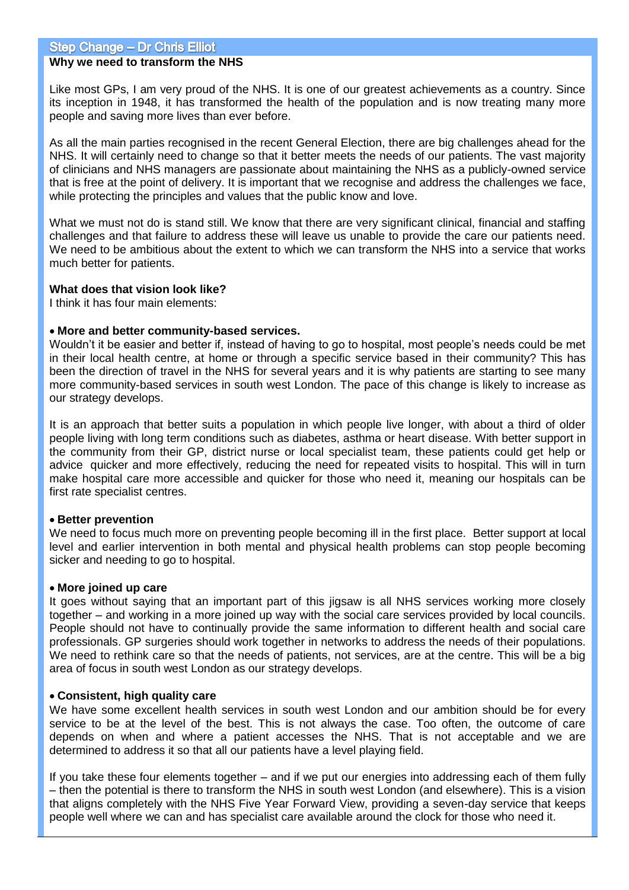#### **Why we need to transform the NHS**

Like most GPs, I am very proud of the NHS. It is one of our greatest achievements as a country. Since its inception in 1948, it has transformed the health of the population and is now treating many more people and saving more lives than ever before.

As all the main parties recognised in the recent General Election, there are big challenges ahead for the NHS. It will certainly need to change so that it better meets the needs of our patients. The vast majority of clinicians and NHS managers are passionate about maintaining the NHS as a publicly-owned service that is free at the point of delivery. It is important that we recognise and address the challenges we face, while protecting the principles and values that the public know and love.

What we must not do is stand still. We know that there are very significant clinical, financial and staffing challenges and that failure to address these will leave us unable to provide the care our patients need. We need to be ambitious about the extent to which we can transform the NHS into a service that works much better for patients.

#### **What does that vision look like?**

I think it has four main elements:

#### **More and better community-based services.**

Wouldn't it be easier and better if, instead of having to go to hospital, most people's needs could be met in their local health centre, at home or through a specific service based in their community? This has been the direction of travel in the NHS for several years and it is why patients are starting to see many more community-based services in south west London. The pace of this change is likely to increase as our strategy develops.

It is an approach that better suits a population in which people live longer, with about a third of older people living with long term conditions such as diabetes, asthma or heart disease. With better support in the community from their GP, district nurse or local specialist team, these patients could get help or advice quicker and more effectively, reducing the need for repeated visits to hospital. This will in turn make hospital care more accessible and quicker for those who need it, meaning our hospitals can be first rate specialist centres.

#### **Better prevention**

We need to focus much more on preventing people becoming ill in the first place. Better support at local level and earlier intervention in both mental and physical health problems can stop people becoming sicker and needing to go to hospital.

#### **More joined up care**

It goes without saying that an important part of this jigsaw is all NHS services working more closely together – and working in a more joined up way with the social care services provided by local councils. People should not have to continually provide the same information to different health and social care professionals. GP surgeries should work together in networks to address the needs of their populations. We need to rethink care so that the needs of patients, not services, are at the centre. This will be a big area of focus in south west London as our strategy develops.

#### **Consistent, high quality care**

We have some excellent health services in south west London and our ambition should be for every service to be at the level of the best. This is not always the case. Too often, the outcome of care depends on when and where a patient accesses the NHS. That is not acceptable and we are determined to address it so that all our patients have a level playing field.

If you take these four elements together – and if we put our energies into addressing each of them fully – then the potential is there to transform the NHS in south west London (and elsewhere). This is a vision that aligns completely with the NHS Five Year Forward View, providing a seven-day service that keeps people well where we can and has specialist care available around the clock for those who need it.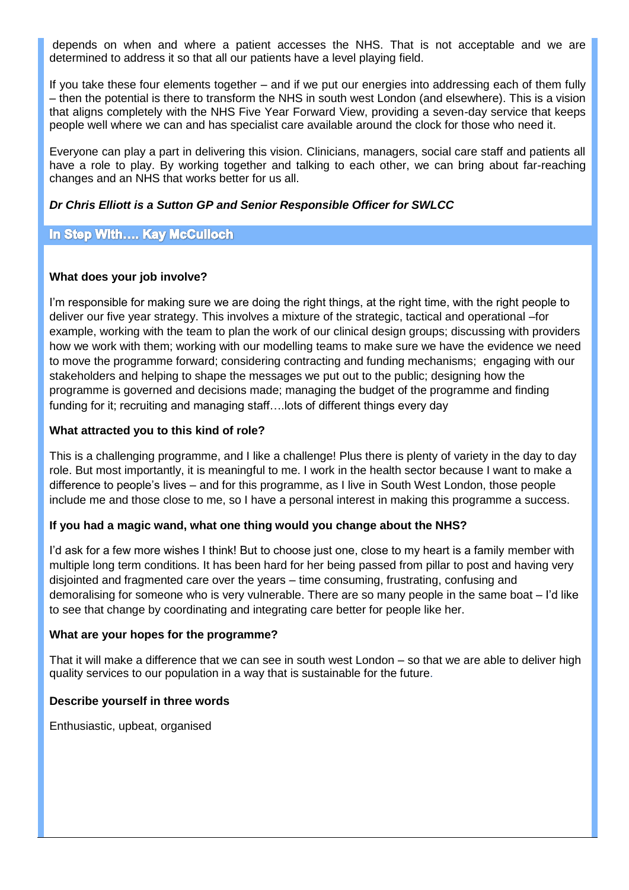depends on when and where a patient accesses the NHS. That is not acceptable and we are determined to address it so that all our patients have a level playing field.

If you take these four elements together – and if we put our energies into addressing each of them fully – then the potential is there to transform the NHS in south west London (and elsewhere). This is a vision that aligns completely with the NHS Five Year Forward View, providing a seven-day service that keeps people well where we can and has specialist care available around the clock for those who need it.

Everyone can play a part in delivering this vision. Clinicians, managers, social care staff and patients all have a role to play. By working together and talking to each other, we can bring about far-reaching changes and an NHS that works better for us all.

#### *Dr Chris Elliott is a Sutton GP and Senior Responsible Officer for SWLCC*

#### **In Step With.... Kay McCulloch**

#### **What does your job involve?**

I'm responsible for making sure we are doing the right things, at the right time, with the right people to deliver our five year strategy. This involves a mixture of the strategic, tactical and operational –for example, working with the team to plan the work of our clinical design groups; discussing with providers how we work with them; working with our modelling teams to make sure we have the evidence we need to move the programme forward; considering contracting and funding mechanisms; engaging with our stakeholders and helping to shape the messages we put out to the public; designing how the programme is governed and decisions made; managing the budget of the programme and finding funding for it; recruiting and managing staff….lots of different things every day

#### **What attracted you to this kind of role?**

This is a challenging programme, and I like a challenge! Plus there is plenty of variety in the day to day role. But most importantly, it is meaningful to me. I work in the health sector because I want to make a difference to people's lives – and for this programme, as I live in South West London, those people include me and those close to me, so I have a personal interest in making this programme a success.

#### **If you had a magic wand, what one thing would you change about the NHS?**

I'd ask for a few more wishes I think! But to choose just one, close to my heart is a family member with multiple long term conditions. It has been hard for her being passed from pillar to post and having very disjointed and fragmented care over the years – time consuming, frustrating, confusing and demoralising for someone who is very vulnerable. There are so many people in the same boat – I'd like to see that change by coordinating and integrating care better for people like her.

#### **What are your hopes for the programme?**

That it will make a difference that we can see in south west London – so that we are able to deliver high quality services to our population in a way that is sustainable for the future.

#### **Describe yourself in three words**

Enthusiastic, upbeat, organised